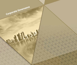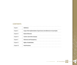# **CONTENTS**

| Chapter I          | <b>Definitions</b>                                                        |
|--------------------|---------------------------------------------------------------------------|
| Chapter II         | Scope of the implementation of governance and adherence to its principles |
| Chapter III        | <b>Board of Directors</b>                                                 |
| Chapter IV         | <b>Control work of the Company</b>                                        |
| Chapter V          | <b>Disclosure and Transparency</b>                                        |
| Chapter VI         | <b>Rights of stakeholders</b>                                             |
| <b>Chapter VII</b> | <b>Final Provisions</b>                                                   |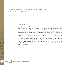### **Introduction**

Dlala Holding is committed to the corporate governance rules and guidelines set out in the corporate governance and legal entities listed in the main market. The development of corporate governance standards to achieve best practices of good governance is one of the priorities of the Board of Directors and senior management of Dlala Holding. The Group's overall operations, in order to enhance good corporate governance practices in order to enhance Dlala Holding's success and to achieve its objectives and aspirations, first and foremost to gain the trust of our current and potential shareholders, all stakeholders, Management practices that support the principles of accountability and accountability based on integrity and transparency, and compliance with all disclosure and transparency requirements to ensure the protection of the rights of different categories of shareholders, fair and equitable treatment of rights and obligations to all shareholders and clarifies the rules and procedures for decision-making on the affairs of Dlala Holding and its compliance with the provisions of this system , Which is described in this report so that both shareholders and the public can assess Dlala's commitment to the system and the principles of good governance in general.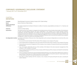1 January 2017 to 31 December 2017

## CHAPTER I: **DEFINITIONS**

| Company:                              | Dlala Brokerage & Investment Holding Company Q.P.S.C (Dlala Holding)                                                                                                                                                                                                                                                                                                                                                                                                                                                                                                                                                                                                                      |
|---------------------------------------|-------------------------------------------------------------------------------------------------------------------------------------------------------------------------------------------------------------------------------------------------------------------------------------------------------------------------------------------------------------------------------------------------------------------------------------------------------------------------------------------------------------------------------------------------------------------------------------------------------------------------------------------------------------------------------------------|
| Board:                                | Board of Directors of Dlala Holding                                                                                                                                                                                                                                                                                                                                                                                                                                                                                                                                                                                                                                                       |
| Charter of the Board<br>of Directors: | The Charter prepared by the Board of Directors to define its functions, responsibilities and duties of its Chairman and<br>members                                                                                                                                                                                                                                                                                                                                                                                                                                                                                                                                                        |
| Chairman:                             | Chairman of Dlala Holding                                                                                                                                                                                                                                                                                                                                                                                                                                                                                                                                                                                                                                                                 |
| Governance:                           | The system by which the company is managed and controlled and sets out the principles and principles of the distribution<br>of rights and responsibilities between the various stakeholders in the company, such as board members, directors,<br>shareholders and other stakeholders, and clarifies the rules and procedures for decision making The Depositary The<br>company licensed by the Authority to carry out deposit and registration functions for all securities traded in the financial<br>markets The non-executive member: is a member of the Board of Directors who is not a full-time member of the company's<br>management or does not receive any remuneration from it. |
|                                       | An independent member: is a member of the Board of Directors who is fully independent, and is contrary to independence, to name but a few, none<br>of the following                                                                                                                                                                                                                                                                                                                                                                                                                                                                                                                       |
|                                       | 1. He must be the owner (at least 1%) of the shares of the company or any company of its group                                                                                                                                                                                                                                                                                                                                                                                                                                                                                                                                                                                            |
|                                       | 2. To be a representative of a legal person who owns at least 5% of the shares of the company or any company of its group                                                                                                                                                                                                                                                                                                                                                                                                                                                                                                                                                                 |
|                                       | 3. To be in the senior executive management of the company or any company of its group during the year preceding the<br>board elections                                                                                                                                                                                                                                                                                                                                                                                                                                                                                                                                                   |
|                                       | 4. Have a first-degree relationship with any of the members of the Board or the senior executive management of the<br>company, or any company in its group                                                                                                                                                                                                                                                                                                                                                                                                                                                                                                                                |
|                                       | 5. To be a member of the Board of Directors of any company within the group of the company nominated for membership<br>of its Board of Directors                                                                                                                                                                                                                                                                                                                                                                                                                                                                                                                                          |
|                                       | 6. To be an employee during the two years preceding the Board elections in any of the parties related to the company or<br>any company of its group such as legal accountants and senior suppliers or to be the owner of control shares in any<br>of these parties during the two years preceding the council elections                                                                                                                                                                                                                                                                                                                                                                   |
|                                       | 7. Have direct or indirect dealings with the company or any company of its group during the two years preceding the<br>council elections                                                                                                                                                                                                                                                                                                                                                                                                                                                                                                                                                  |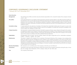| Senior Executive              |                                                                                                                                                                                                                                                                                                                                                                                                                                                                                                                                                                                                                                                                       |
|-------------------------------|-----------------------------------------------------------------------------------------------------------------------------------------------------------------------------------------------------------------------------------------------------------------------------------------------------------------------------------------------------------------------------------------------------------------------------------------------------------------------------------------------------------------------------------------------------------------------------------------------------------------------------------------------------------------------|
| Management:                   | The Chief Executive Officer and other executives directly responsible to him, include the heads of the company's internal<br>control units                                                                                                                                                                                                                                                                                                                                                                                                                                                                                                                            |
| The auditor:                  | is the authorized person in accordance with the provisions of the law and the registrar in the table of external auditors of<br>the Authority to carry out the audit and audit of financial statements and reports in accordance with the principles of the<br>profession and in accordance with international standards of auditing or auditing standards related to Islamic financial<br>institutions and obtain confirmation of whether the financial statements are free of The fundamental errors, as well as the<br>qualifying actions                                                                                                                          |
| Cumulative voting:            | A voting method for the selection of members of the Board Each shareholder shall be given the power to vote on the<br>number of shares he holds; he shall be entitled to vote for one candidate or to divide them among the candidates of the<br>Council without any repetition of these votes                                                                                                                                                                                                                                                                                                                                                                        |
| A large transaction:          | Any transaction or group of related transactions intended to acquire, sell, lease, swap or dispose of (except for the creation<br>of collateral) the assets of the company or the assets acquired by the company or those transactions that would change<br>the basic nature of the company's business, ) Of the lower value between the market value of the company or the net asset<br>value of the company according to the latest published financial statements                                                                                                                                                                                                  |
| Stakeholders:                 | All stakeholders have an interest with the company based on the right or legal status such as shareholders, employees,<br>creditors, customers, suppliers and others                                                                                                                                                                                                                                                                                                                                                                                                                                                                                                  |
| Related party:                | The person is related to the company if he is a member of the board of directors of the company or any company of its<br>group, the supreme executive management of the company or any company of its group or the owner of at least 5% of<br>the shares of the company or any company of its group, Or a relative of any of the former to the second degree, and any<br>legal person controlled by a member of the board of directors of the company or any company of its group or its executive<br>management and their relatives to the second degree, or involved in a project or partnership of any kind with the company<br>or any company from Her collection |
| <b>Minority Shareholders:</b> | Who represent a non-controlling class in the Company so that they can not influence it                                                                                                                                                                                                                                                                                                                                                                                                                                                                                                                                                                                |
| Transactions:                 | Transactions of the same type, amounting to (10%) of the volume of the company's transactions during the year, or more<br>than the average total transactions of the company during the last three years                                                                                                                                                                                                                                                                                                                                                                                                                                                              |
| Year:                         | The Company's financial year                                                                                                                                                                                                                                                                                                                                                                                                                                                                                                                                                                                                                                          |
|                               |                                                                                                                                                                                                                                                                                                                                                                                                                                                                                                                                                                                                                                                                       |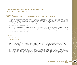1 January 2017 to 31 December 2017

## **CHAPTER II: SCOPE OF THE IMPLEMENTATION OF GOVERNANCE AND ADHERENCE TO ITS PRINCIPLES**

Dlala attaches particular importance to the principles of corporate governance, especially to the protection of shareholders' rights, particularly the rights of the minority and other stakeholders, and seeks to establish a close relationship between them and the Board of Directors and all other relevant parties. This relationship defines the general framework of the company's strategy and means to achieve its objectives, Equity and equity among all shareholders in the rights and duties, access to all important information about the company, the public interest of the company and stakeholders in the private interest, and the board of directors' responsibilities towards the company and shareholders The age of faith and integrity and honor and dedication.

The Board reviews and updates the governance implementation from time to time to comply with the best practices of the governance system, in the light of the periodic reports submitted to it by the Internal Audit Committee. The Board works on developing the rules of professional conduct on a permanent basis and developing the necessary ones from time to time An example is the updating of the Charter of the Dlala Board and the Corporate Governance Charter.

### CHAPTER III: **BOARD OF DIRECTORS**

### *Frist:* Board Formation:

The company is managed by Board of Directors elected by the General Assembly in accordance with the Articles of Association of the Company, which determines the method of composition, number of members and duration of membership. The number of its members is nine, three of whom represent the founders and duration of membership is three years. , And may delegate some of its powers to remain responsible for them. The process of electing the members of the Board of Directors in a sign in accordance with the principle of justice and equality among all candidates, and to enhance transparency and disclosure, as the process of electing the last Council on 03/04/2017 was as follows:

The opening of the candidature for membership of the new board of directors was announced for two weeks during the period from 26/02/2017 until 09/03/2017 for the number of six seats. The number of candidates was 6 candidates. The Nomination Committee confirmed that they met all the required legal conditions, The candidates were announced on the company's website and the Qatar Stock Exchange. The Ministry of Economy and Commerce and the Qatar Stock Exchange and Stock Exchange Authority were also informed of the list of candidates.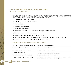On 03/04/2017 the General Assembly meeting of Dlala Holding Company was held in the presence and supervision of the representatives of the Ministry of Economy and Trade, the External Auditor and the Rapporteur of the Meeting, where it unanimously approved the election of the candidates to the Board of Directors by acclamation, The following members are members:

- 1. His Excellency Sheikh Abdulrahman bin Hamad Al Thani.
- 2. His Excellency Sheikh / Suhaim Bin Khalid Al-Thani.
- 3. Mr. Ali Hussein Al-Sada.
- 4. Mr. Jaber bin Hajaj Al Shahwani.
- 5. Mr. Ahmed Mohamed Al-Asmakh.
- 6. Mr. Mohamed Mubarak Al-Khater, representing the investment portfolio of the armed forces.

#### *In addition to three members from the founders as follows:*

- 7. Civil Pension Fund represented by Mrs. Moza Mohammed Al-Sulaiti
- 8. Qatar Foundation for Education, Science and Community Development represented by Mr. Walid Raslan Al Abdullah
- 9. Qatar Investment Authority represented by Mr. Khalid Abdullah Al Suwaidi

## *Second:* About the Board of Directors and Chief Executive Officer:

| 1. HE Sheikh Abdul Rahman Bin Hamad Bin Khalid Al Thani | Chairman - Non-Executive, Independent.                                                                                                             |  |  |
|---------------------------------------------------------|----------------------------------------------------------------------------------------------------------------------------------------------------|--|--|
| 2. Mr. Jaber Hajaj Mansour Al Shahwani                  | Vice Chairman - Non-Executive, Independent.                                                                                                        |  |  |
| 3. Mr. Ahmed Mohamed Ali Ibrahim Al-Asmakh              | Board Member - Non-Executive, Independent.                                                                                                         |  |  |
| 4. Mr. Khalid Abdullah Al Suwaidi                       | Board Member - Non-Executive, Independent.<br>Representative of Qatar Investment Authority (Founder)                                               |  |  |
| 5. HE Sheikh / Suhaim Bin Khalid Bin Hamad Al Thani     | Board Member - Non-Executive, Non-Independent.                                                                                                     |  |  |
| 6. Mrs. Moza Mohammed Gomaa Al-Fadala Al-Sulaiti        | Board member - non-executive, independent. Representative of Pension Fund of the<br>General Authority for Retirement and Social Security (Founder) |  |  |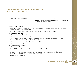7. Mr. Ali Hussein Ali Al-Sada Board Member - Non-Executive, Non-Independent. 8. Waleed Raslan Waleed Yacout Al-Abdullah Board Member - Non-Executive, Independent. Representative of Qatar Investment Authority (Founder) 9. Mr. Mohamed Mubarak Ali Issa Alkhater Member of the Board of Directors - non-executive, non-independent. Representative of the Armed Forces Investments Portfolio

#### **His Excellency Sheikh Abdulrahman bin Hamad bin Khalid Al Thani** (Chairman of Board of Directors)

- His Excellency Sheikh Abdulrahman bin Hamad Al-Thani served as Vice Chairman of the Board of Directors from 2014 until October 2016. He was elected Chairman of the Board of Directors.
- His Excellency Sheikh Abdul Rahman Bin Hamad Al Thani also chairs the Executive Committee of the Company.

## **Mr. Jaber bin Hajjaj Al Shahwani**

#### (Vice Chairman of the Board of Directors)

- Mr. Jaber Al Shahwani holds a Bachelor of Military Science.
- Mr. Jaber Al Shahwani held many positions in government ministries and served as Director of the Office of the Minister of Health and Director of the Office of the Minister of State for Municipal Affairs and Agriculture.
- Mr. Jaber Al Shahwani has been elected to the Board of Directors since 2013.
- Mr. Jaber Al Shahwani currently chairs the Rewards, Nominations and Governance Committee.

#### **Ms. Moza Mohammed Jumaa Al Fadala Al Sulaiti** (Member of the Board of Directors)

- Mrs. Moza Al-Sulaiti holds a Master's degree in Banking and Finance from Salford University in the United Kingdom.
- Ms. Moza Al-Sulaiti is currently the Director of the Planning and Research Unit / Director of the Fund Accountancy Office at the Public Authority for Pensions and Social Security since 2009. Prior to that, she worked in the Audit Bureau since 1993 and participated in many economic and investment forums and conferences in the State of Qatar.
- Chairman of the Audit Committee at Dlala.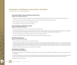#### **His Excellency Sheikh / Suhaim bin Khalid bin Hamad Al Thani** (Member of the Board of Directors)

- HE Sheikh / Suhaim bin Khalid bin Hamad Al Thani received a Bachelor of Business Administration from the University of Plymouth, UK.
- His Excellency Sheikh / Suhaim Bin Khalid Bin Hamad Al-Thani also worked for HSBC and Deutsche Bank.
- He also received a number of courses in banking and finance.
- He is a member of the Executive Committee of Dlala.

#### **Mr. Ahmed Mohamed Ali Ibrahim Al-Asmakh** (Member of the Board of Directors)

- Ahmed Al-Asmakh received a BA in History from Qatar University in 2002.
- Mr. Ahmed Al-Asmakh has been a second secretary at the Ministry of Foreign Affairs since 2003. He has extensive experience in the financial sector and has extensive knowledge in the field of securities investment in local and international financial markets.
- Mr. Ahmed Al-Asmakh served as Managing Director from 2011 until February 2016.
- He is also a member of the Remuneration, Nomination and Governance Committee at Dlala.

#### **Mr. Ali Hussein Ali Al Sada** (Member of the Board of Directors)

- Mr. Ali Al Sada has extensive experience in the financial sector.
- Mr. Ali Al-Sada is a businessman and a member of the Executive Committee of Qatar National Bank since 1998. He is a member of the Board of Directors of Qatar Navigation Company (QSC) and a member of the Board of Directors of Halul Marine Services LLC, which is whollyowned by Qatar Navigation, and is a member of the Board of Directors of many companies outside the State of Qatar in the UAE, Bahrain and Syria.
- Member of the Rewards, Nominations and Governance Committee.

#### **Mr. Walid Raslan Al-Abdullah** (Member of the Board of Directors)

- Mr. Waleed Al Abdullah received an MBA from Glamorgan University in the UK and attended and participated in CPA courses and tests in the United States.
- Mr. Waleed Al Abdullah currently serves as Vice President of Finance at Qatar Foundation for Education, Science and Community Development. He also served as Deputy Executive Director and Deputy Director General for Finance and Human Resources at Qatar Transport Co.
- Member of the Audit Committee.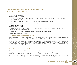1 January 2017 to 31 December 2017

#### **Mr. Khalid Abdullah Al Suwaidi** (Member of the Board of Directors)

- Mr. Khaled Al-Suwaidi was appointed as a member of the Board of Directors of Dlala Holding Company representing the education and health portfolio of the Ministry of Finance in 2014.
- Mr. Khalid Al Suwaidi is currently Director of the Department of Management at Qatar Investment Authority.
- He is a member of the Audit Committee and the Executive Committee.

#### **Mr. Mohamed Mubarak Al-Khater** (Member of the Board of Directors)

- Mr. Mohammed Al-Khater was appointed as a member of the Board of Directors of Dlala Holding Company representing the portfolio of investments of the armed forces in March 2017.
- Mr. Mohammed Al Khater is the Deputy Head of Investment Department at the Ministry of Defense.
- He received his MBA in May 2016 from Paris.

## *Third:* Prohibition of the combination of positions

Following the election of the Board of Directors, the Board met and elected from among its members HE Sheikh Abdulrahman Bin Hamad Al Thani (Chairman of the Board) and Mr. Jaber Bin Hajaj Al Shahwani (Deputy Chairman) for one year in accordance with the Articles of Association of the Company, (6, 7) of the corporate governance system so that none of them occupy the position of chairman or vice president of more than two companies whose main positions are in the state. They are not members of the board of directors of more than three companies whose main centers are in the UAE, To manage in more than one company its head office in the state, and The Chairman of the Board of Directors is not a member of any of the Board Committees provided for in the Corporate Governance Law and does not hold an executive position in the Company in order to ensure a balance of influence and authority in order to ensure that one individual does not have absolute power In making decisions.

## *Fourth:* The main duties of the Board of Directors

The Board of Directors plays a key role in governance. It is the responsibility of the Board to adopt the Group's strategy, develop the guiding policy, appoint senior executives, supervise them, follow up on their performance, follow up on their plans, follow up on their work, As an indication to its shareholders and to government agencies that the leniency in this may lead to improper behavior.

The Board approved its Charter, which includes the duties of the Council and its responsibilities and the duties of its members, and was prepared in accordance with the guidance model issued by the Commission and published on the website www.dlalaholding.com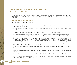The Board of Directors is reviewing its charter to update it in the light of the provisions of the Corporate Governance Law issued by the Board of Directors of Qatar Financial Markets Authority No. 5 of 2016 promulgating the corporate governance system and legal entities listed in the main market

### Responsibilities of the Board of Directors:

#### The Board shall be responsible for the following:

- Develop the company strategy (including objectives, vision, mission, goals, strategies and strategic plans) and monitor the management's implementation of that strategy.
- Appointing and dismissing the CEO of the company, determining the duration of his service, his salary, his remuneration and the control of his performance compared to the objectives set.
- Approve the appointment and dismissal of the Board Secretary and the Senior Executive Members (as requested).

The Board is responsible for ascertaining the formation of the Board as stipulated in the Company's Bylaws and in accordance with the requirements of other relevant legislations, including the Corporate Governance System issued by Qatar Financial Markets Authority (including the Board of Directors) And that at least one-third of the Board shall be composed of independent members, provided that the majority of the members of the Board are composed of non-executive members. Nominations for membership of the Board shall be carried out in accordance with the guidelines for financial solvency and adequacy contained in the Corporate Governance Regulations The listing of terms and conditions that ensure that shareholders will receive information prior to the voting process in respect of candidates to be members of the Ijara Board, the voting process for board members' election and the procedures for the dismissal of board members, including failure to attend board meetings. The Board believes that it is necessary to submit a proposal to the Extraordinary General Meeting of Shareholders to amend the Company's Articles of Association.

- Determine the independence of non-executive members on a regular basis and in accordance with the requirements of the Corporate Governance System issued by Qatar Financial Markets Authority
- • The powers, duties and responsibilities delegated to the members of the Board of Directors, including the Chairman, Vice President and Chief Executive Officer.
- • Rewards policy and nomination periods for Board members, assisted by Nominations, Remuneration and Governance Committee.
- Training program for new board members to ensure that when elected, they will be fully aware of their responsibilities and have a proper understanding of the management of the company.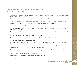1 January 2017 to 31 December 2017

- • Training to improve the skills and knowledge of Board members to train Board members on financial, commercial and industrial practices as well as company operations and operations.
- Inform members of the latest developments in corporate governance and best practices in the company.
- Appoint committees that the Council deems appropriate to assist them in carrying out their duties, responsibilities and responsibilities.
- Approve policy on current policy change and current practice presented through committees or management.
- Control the financial performance of the company
- Monitoring financial results and integrity of reports, particularly approving annual budgets, including large capital expenditures, business plans and long-term strategies.
- • Ensure the integrity of the company's financial reports and other reports through approval and control (with the assistance of the Audit Committee).
- Monitor the performance of the company and compare it with budgets and plans.
- Setting certain limits for the powers of senior executive management based on the decision of the Board of Directors.
- Changes in the limits of authority to senior executive management
- Risk management and supervision of internal controls. Ensure effective audit, risk management and compliance systems and apply them to protect the Company's assets and reduce the likelihood of operating the Company in any manner contrary to legal requirements or acceptable risk criteria. Review the application and effectiveness of risk management and internal control system.
- Significant changes in accounting procedures and policies and risk management.
- Matters that will have a material impact on the Company's financial position, liabilities, future strategy or reputation. Compliance with contracts, laws, legislations, legislative obligations and ethical standards.
- Setting standards for professional conduct and ensuring compliance
- Proposing changes to the company's Articles of Association and internal legislation.
- Conduct regular review on a senior management and development succession plan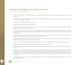- Ensure that the company has adequate resources to successfully and effectively implement the company's strategies and day-to-day operations.
- Ensure that the company has adequate insurance cover for the products and general liabilities and responsibilities of members and employees in the event of a claim on the company.
- • Company policies regarding recruitment and rewards.
- • Problem management and management reputation.
- • Providing corporate governance, including periodic reviews of the Company's balance sheet, so as not to distribute responsibilities appropriately to meet the company's needs.
- Appointing the external auditor based on the recommendation of the Audit Committee. The recommendation submitted to the Board by the shareholders shall be ratified at the Ordinary General Meeting of the Company. And compliance with the provisions of the circular of the external auditor.
- Due diligence on any matters and observations made by external auditors. Ensure timely response by the Board of Directors to any inquiries and matters contained in the correspondence or reports of external auditors.
- • Appointing the internal auditor and ensuring his independence, provided that such independence is supported by the Board of Directors determining the salaries and remuneration of internal audit.
- Follow-up with the Senior Executive Management for the purpose of carrying out any specific tasks by the external or internal auditor.
- • Coordination between the External Auditor, the Internal Auditor and the Audit Committee.
- • Ensure that the members of the Audit Committee, Nominating Committee, Remuneration, Governance and External Auditor are present at the AGM.
- • Ensure that the company is committed to the relevant laws and regulations in addition to the statutes and internal regulations. The Board is also responsible for protecting the Company against illegal, disruptive or inappropriate procedures and practices. The Board should review and update the governance policies. The Board shall regularly review and update the Code of Conduct in respect of company values and policies and act on other internal procedures and ensure that all Board members and employees are complied with, as well as Company consultants.
- The Board should review the principles of professional conduct regularly to ensure that they reflect best practices and that they meet the needs of the company.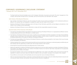1 January 2017 to 31 December 2017

• The Board shall have full and immediate access to the Company's information, documents and records. The senior management of the company shall provide the Board and its committees with all the documents and information they request.

### *Sixth:* Duties of the Board of Directors:

- Each member of the Board of Directors owes the Company the duties of care, sincerity and adherence to the institutional authority as defined in the relevant laws and regulations, including this system and the Charter of the Council.
- • Members of the Board of Directors shall always work on the basis of clear information, good faith, and due diligence and attention, in the interest of the Company and all shareholders.
- • Members of the Board of Directors must act effectively to comply with their responsibility towards the Company.

### *Seventh:* Duties of the Chairman of the Board:

- 1. The Chairman of the Board shall be responsible for the proper functioning of the Board of Directors in an appropriate and effective manner, including obtaining full and correct information in a timely manner.
- 2. The Chairman of the Board of Directors may not be a member of any of the Board Committees stipulated in the Qatar Financial Markets Authority's system of governance. Any other position held by the President, whether inside or outside the Company, shall not interfere with the effective performance of his duties as Chairman of the Board of Directors.
- 3. The duties and responsibilities of the Chairman of the Board of Directors, as well as those provided for in the Charter of the Council include, but are not limited to, the following:
- • Chairing meetings of the company and the general assembly and ensuring that these meetings are conducted properly and effectively and that members have the opportunity to express their views and get answers to their inquiries.
- Ensure that the Council discusses all key issues effectively and in a timely manner
- • Approve the agenda of a meeting of the Board of Directors, taking into account any matter raised by any member of the Board of Directors. The President may delegate this task to any member of the Board. However, the Chairman shall remain responsible for the appropriate performance by the member of the Board.
- • Encourage all members of the Council to participate fully and effectively in the conduct of the affairs of the Council and encourage the expression of opinions and discuss ideas and create the collective views and wisdom necessary in the interest of the company
- • Ensure effective communication with shareholders and communicate their views to the Board of Directors.
- • Allow non-executive board members, in particular, to actively participate and encourage constructive relationships between executive and non-executive board members and between the board and senior executive management.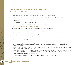- • Ensure annual performance assessment of the Board and performance of the Chief Executive Officer.
- • Ensure that new members are informed and given access to information about all aspects of the company's operations.
- • To be representative of the Board in dealing with the Department, while ensuring that the views of the Council are communicated clearly and accurately.
- • Acting as Senior Advisor to the Chief Executive Officer.
- Presenting the views of the Council to the public, government bodies and events.

### *Eighth:* Obligations of non-executive board members

#### The obligations of non-executive board members include, but are not limited to, the following:

- Participate in board meetings and give an independent opinion on strategic and political issues, accountability, resources, core appointments and labor standards.
- • Ensuring that priority is given to the interests of the company and shareholders in the event of any conflict of interest
- Participate in the audit committee of the company.
- Monitor the performance of the company in achieving its agreed goals and objectives and review reports on its performance, including the annual, semi-annual and quarterly reports
- Overseeing the development of corporate governance rules to oversee their application in accordance with these rules
- • Provide their skills, expertise, competencies and qualifications to the Board of Directors or its various committees through their regular attendance at Board meetings and their effective participation in public assemblies and their understanding of the shareholders' views in a balanced and fair manner.
- The majority of the non-executive board members may request the opinion of an independent consultant at the expense of the company in respect of any matter concerning the company.
- • Not to make any statements, or information without the prior written permission of the President or his authorized representative, and the Council shall nominate the official spokesman of the company. The Council decided to appoint two speakers on behalf of the Council:
	- Dr. Abdulaziz Ali Al-Hammadi Chief Executive Officer.
	- Mr. Mohamed Sadi Marketing and Communication Manager and Secretary of the Board of Directors.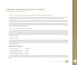1 January 2017 to 31 December 2017

## *Ninth:* The number of meetings of the current Board of Directors during the year 2017

The Board of Directors of the Company shall meet at the invitation of its Chairman on a regular and effective basis and whenever necessary in accordance with the provisions of the Companies Law No. (11) for the year 2015, which meets at least 6 times per year. (6) meetings.

The President shall also invite the Council to the meeting whenever at least two members so request. The invitation shall be given to each member accompanied by the agenda at least one week in advance. Any member may request the addition of one or more items to the agenda.

All members of the Board of Directors of Dlala Holding are regular in the presence of Board meetings except in some cases beyond their control. Members shall devote their expertise and qualifications to the Board and its various committees through attending and participating effectively in the Council, Committees and Associations.

### *Tenth:* Committees of the Board of Directors

The Council shall delegate some of its powers to special committees and shall, as necessary, establish special committees for the purpose of carrying out specific operations. They shall carry out their work in accordance with written instructions. The Council shall remain responsible for all powers or powers delegated to it. The Executive Committee and the Nomination, Remuneration and Governance Committee) immediately after the election of the members of the Board of Directors held on 03/04/2017, which was carried out in accordance with formal and transparent procedures as follows:

### **1. Audit Committee:**

The Committee is responsible for overseeing and reviewing all internal and external audit activities in accordance with the work plan approved by the Board of Directors earlier. The Committee shall consist of three members of the Governing Council, provided that the membership of the Committee shall be in accordance with the term of office of the Governing Council. All members of the Audit Committee have financial and accounting experience.

#### Members of the Committee are:

- 1. Mrs. Moza Al-Sulaiti Chairperson
- 2. Mr. Khalid Abdullah Al-Suwaidi Member
- 3. Mr. Walid Raslan Al-Abdullah Member
- 4. Mr. Mohamed Mubarak Al-Khater Member

The Audit Committee meets regularly and whenever necessary. All minutes of its meetings are duly recorded. Reports are presented to the Board periodically for discussion. An annual report is submitted to the Board at the end of each financial year. During the year 2017, four meetings were held.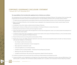#### The responsibilities of the Committee after updating its terms of reference are as follows:

The membership of the Committee shall be in accordance with the membership of the Board of Directors. The members of the Committee shall be appointed and removed by a decision of the Board of Directors. The responsibilities and duties of the Committee shall be as follows:

- 1. To submit any issues requiring action by the Board of Directors and recommend follow-up actions, as the Committee deems appropriate.
- 2. Report to the Board of Directors on the Committee's issues as stipulated in the Corporate Governance System issued by Qatar Financial Markets Authority.
- 3. Consideration of any other matters as determined by the Board of Directors.
- 4. Monitoring the risk factors of Dlala and the recommendation of the Board of Directors to reduce these factors.
- 5. Auditing financial and internal controls and risk management systems.
- 6. Discuss the internal control systems with the Department to ensure that the Department carries out its duties towards the development of efficient internal control systems.
- 7. Consider the results of the major investigations in internal control matters at the request of the Board of Directors, or the Committee shall do so on its own with the approval of the Board of Directors.
- 8. Review the financial and accounting policies and procedures of Dlala.
- 9. Monitor the accuracy and validity of financial statements and annual, semi-annual and quarterly reports and audit such data and reports, with particular emphasis on the following:
	- • Any changes in policies and accounting;
		- Issues that are under the discretion of senior management;
	- Major adjustments resulting from audit;
	- Continued significance as an existing enterprise;
	- Compliance with accounting standards International Financial Reporting Standards.
	- Adhering to the rules of the Qatar Exchange.
	- Compliance with disclosure rules and any other requirements related to financial reporting.
- 10. Consider any important and unusual issues that can be found in financial reports and indicative accounts.
- 11. Oversee and follow up the independence and objectivity of the external auditor to determine the nature, scope and effectiveness of the external audit in accordance with international auditing standards and in accordance with International Financial Reporting Standards.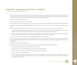1 January 2017 to 31 December 2017

- 12. Ensure that the external auditor conducts annual and semi-annual audits to provide objective assurance to the Board of Directors and shareholders that the financial statements are prepared in accordance with international laws, regulations and standards for reporting and represent the financial position and performance of Dlala accurately in all material respects.
- 13. Meet external auditors at least once a year.
- 14. Taking care of any issues raised by external auditors.
- 15. Ensuring that the Board of Directors responds in a timely manner to inquiries and matters included in letters and reports of external auditors.
- 16. Ensure that the external auditor attends the general assembly and delivers the annual report and respond to any questions or inquiries in this regard.
- 17. Recommendation of the Board of Directors on the appointment of external auditors, following the following guiding principles:
	- a. The external auditors shall be independent and have no other interest in the indication or the members of the board of directors except auditing. There is no need for any conflict of interest in the external auditor's relationship with a connotation.
	- B. External auditors should be professional and have specialized expertise in the auditor of the financial statements of listed companies based on the International Standards on Auditing and International Financial Reporting Standards.
	- C. Follow-up of the rules and regulations in force regarding the appointment of the auditor.
- 18. Review the letter of appointment of the external auditor and his business plan and any important clarifications requested by the auditor from the senior management regarding accounting records, financial accounts or control systems, as well as the response of the senior executive management.
- 19. Evaluation of External Auditor's Performance.
- 20. Supervise the internal auditing process, and in particular ensure that the internal audit means the following tasks:
	- a. Review and oversee the implementation of internal control systems.
	- b. Internal audit work as an independent process, and by a trained and qualified team.
	- c. That internal audit would report to the Governing Council through the Committee.
	- d. Internal audit covers all activities of Dlala.
	- e. Internal audit is independent of daily functioning in Dalaa. The independence shall be imposed through compensation paid to the internal auditor determined by the Board of Directors on the recommendation of the Committee. The Internal Auditor shall attend the General Assembly Meeting.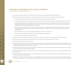21. Ensure that the internal audit function includes at least one internal auditor appointed by the Board of Directors.

22. Recommendation of the Board of Directors regarding the adoption of the scope of internal audit and include, in particular:

- a. Monitoring, supervision and supervision of financial, investment and risk management procedures.
- b. A comparative assessment of the evolution of risk factors and systems used to respond to drastic or unexpected changes in the market.
- c. Evaluation of the performance of the Board of Directors and senior management in the implementation of internal control systems, including the number of times the Board of Directors has been informed of matters related to oversight (including risk management) and the manner in which the Board deals with such matters.
- d. Internal control failure, weakness or emergencies that have affected or may affect Dlala's financial performance and the procedures followed by the Company to correct internal control failures (especially the problems included in the annual Dlala reports and their financial statements).
- e. Dlala's commitment to the rules and regulations applicable to market lists and disclosure.

And. Dlala's commitment to internal control systems in identifying and managing risks.

- f. All information describing the risk operations of Dlala.
- 23. Ensure that the internal audit report is prepared every three months and submitted to the Committee and the Board of Directors.
- 24. Supervising the control of financial, administrative and technical activities of internal auditing and monitoring.
- 25. Evaluate the performance of the internal auditor.
- 26. Ensure that external and internal auditors are separate statutory entities and ensure that all other requirements for the appointment of an external auditor are applied to the appointment of the internal auditor, including the auditor's rotation (when the Board decides to assign the internal auditor's function to an external consultant)
- 27. Coordinate with the Board of Directors, the Senior Executive Management and the Financial Manager of Dlala or the person who is looking for the responsibilities of the Chief Financial Officer.
- 28. Coordination between the internal auditor and the external auditor and the availability of the necessary resources and the effectiveness of internal controls.
- 29. Review the observations made by any of the reports submitted to the Committee and refer them to the concerned departments for followup action and action in a timely manner.
- 30. Establish rules through which Dlala employees can confidentially report any concerns about issues in financial reports, internal controls or other suspicious matters, where such matters are considered unethical or irregular and harm the Company indication. Ensure that appropriate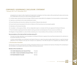arrangements are in place to allow impartial and independent investigations into these matters while ascertaining the above and ensuring the confidentiality of the amount as well as protecting against reprisals.

- 31. Consider matters raised by the financial manager of Dlala, the person responsible for the obligation, the internal auditors or external auditors.
- 32. Supervise a commitment to the Code of professional conduct.
- 33. Ensure that all laws and instructions relating to the activities of Dalaa are duly observed.
- 34. Ensure that the rules of procedure for the terms of reference of the Governing Council are properly applied;
- 35. Attendance of the General Assembly.
- 36. Consultation at the expense of Dlala with any independent expert or consultant with the prior approval of the Board of Directors.
- 37. Recommendation regarding all activities related to training, promotion and development of human resources and follow-up.
- 38. Delegation of responsibilities to a subcommittee comprising one or more members of the committee or to the CEO of Dlala.

#### Recommendations of the Audit and Risk Committee during 2017:

- The Audit Committee submitted a recommendation to the Board of Directors to approve the annual financial statements for submission to the General Assembly of the Group.
- • A further recommendation was submitted to the Board of Directors to select the external auditor, Rodel & Partner, to audit the financial statements of the company for the year 2017 because of its experience in this field and given the competitive price offered by them.

#### **2. The Executive Committee**

The Executive Committee comprises three members of the Board of Directors and is chaired by the Chairman of the Board. The membership of the Committee is in accordance with the terms of office of the Governing Council.

#### Members of the Committee are:

- 1. H.E. Sheikh Abdulrahman bin Hamad Al Thani President
- 2. H.E. Sheikh / Suhaim bin Khalid bin Hamad Al-Thani Member
- 3. Mr. Khalid Abdullah Al-Suwaidi Member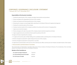#### **Responsibilities of the Executive Committee:**

- 1. Develop the general policy of the company and adopt internal policies and procedures.
- 2. Review and approve the organizational structure of the company.
- 3. Monitor and supervise the financial performance of the company.
- 4. Reviewing the company's annual budget before submitting it to the Board of Directors for approval and approval.
- 5. Develop the investment policy of the company.
- 6. Develop investment policy for the company's portfolio of securities and the manner of managing them.
- 7. Approve any investment projects.
- 8. Review and approve the sale of any assets of the company except investment properties and shares.
- 9. Approve agreements and commitments that exceed the authority of the CEO
- 10. Approve the loans required by the company.
- 11. To approve the business plans of Dlala Holding and its subsidiaries before submitting them to the Board of Directors.
- 12. Review and approve proposals for capital change and structure of the company.
- 13. Review and approve proposals for issuing bonds or securities.
- 14. Appointment and termination of the services of the Chief Executive Officer and Executive Vice President and determination of their salaries

#### **3- Remuneration and Nominations Committee**

The Compensation and Nomination Committee shall consist of three members of the Board of Directors. The membership of the Committee shall be in accordance with the term of the Board of Directors.

#### **Members of the Committee are:**

| 1. Mr. Jaber bin Hajaj Al-Shahwani | Chairman |
|------------------------------------|----------|
| 2. Mr. Ahmed Mohammed Al-Asmakh    | Member   |
| 3. Mr. Ali Hussein Al-Sadah        | Member   |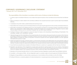1 January 2017 to 31 December 2017

### **The responsibilities of the Committee in accordance with its terms of reference include the following:**

- 1. To submit a report to the Board of Directors on any matters that require the opinion of the Committee and recommend that it be followed up.
- 2. Report to the Board on matters related to the Committee as defined in the Corporate Governance System issued by Qatar Financial Markets Authority.
- 3. Consideration of any other matters as determined by the Governing Council.
- 4 Responsible for the nomination process for the Board of Directors and supervising the appointment of the members of the Board of Directors.
- 5. Responsible for developing and publishing formal, strict and transparent procedures for nominating members of the Board of Directors based on the requirements of Dlala Holding's Bylaws (including the Statutes), the Corporate Governance Regulations issued by Qatar Financial Markets Authority and the Commercial Companies Law and other relevant authorities.
- 6. The Board of Directors shall be proposed to amend and adopt the Statutes at the Extraordinary General Meeting of Shareholders if the Committee considers such amendments necessary.
- 7. Following the approval of the shareholders of the General Assembly, the remuneration policy governing the remuneration of the Chairman of the Board of Directors, the members of the Board of Directors and senior executives of the Executive Management shall be based on Dlala's regulations (including the Articles of Association) Commercial companies and other applicable regulations and other applicable international best practices in Qatar.
- 8. Identify and implement the policy of relevant parties to control business transactions with related parties and control potential conflicts of interest, with reference to the definition of corporate parties as set out in the Corporate Governance System issued by Qatar Financial Markets Authority. This policy includes the requirements as defined in the Corporate Governance System issued by Qatar Financial Markets Authority.
- 9. Ensure that the annual performance evaluation of the Board of Directors is carried out in cooperation with the Chairman of the Board.
- 10. Preparation and submission of the management succession plan and induction training program for the new members of the Board of Directors as well as the training process, the work plan of the Board of Directors and the annual corporate governance report to the Board of Directors for adoption based on the Corporate Governance System issued by the Qatar Financial Markets Authority.
- 11. Attendance of the General Assembly. (Article 14.2 of the Corporate Governance Regulations issued by Qatar Financial Markets Authority)
- 12. Consultation at the expense of Dlala with any independent expert or consultant, subject to the prior approval of the Board of Directors.
- 13. Delegation of responsibilities to a subcommittee comprising one or more members of the committee or to the CEO of Dlala.
- 14. The Board of Directors is constantly updated on the latest developments in corporate governance and best practices in the field.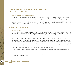#### **Eleventh Secretary of the Board of Directors**

The Secretary of the Board of Directors plays a key role in ensuring that the Board's legal procedures are followed and reviewed on a regular basis. It also assists and assists all members of the Board in obtaining advice, information and documents that enable them to carry out their tasks without difficulty. And the committees in accordance with the rules and keeping them and send invitations to the members of the Council and the participants with the agenda and coordination between the members and the President and among them and stakeholders, the Council has appointed for this purpose a secretary with the additional responsibility is director of marketing and public relations, Bachelor's birth in the field of media and has more than 13 years of experience as secretary of the Board of Directors in the State of Qatar.

### CHAPTER IV: **CONTROL WORK OF THE COMPANY**

#### *First:* internal audit

The Board of Directors is responsible for the Company's internal control system. The Governing Body has adopted an organizational structure, job description, policies and procedures and the financial and practical delegation of authority to govern the organization of the company's operations. The Council, through the delegation of existing authorities, has confirmed that no individual has absolute powers.

The responsibility for monitoring and reporting management errors was entrusted to the Internal Audit Department, which reports to the Audit Committee. The Administration has designed an audit program to monitor operations, strategic, financial and compliance matters.

Responsibility for the management, control and reporting of compliance risk has been entrusted to the Compliance Department, reporting to the Chief Executive Officer. The Department has designed internal control protocol systems to monitor compliance with laws and regulations.

The responsibility for managing, controlling and reporting legal risks has been entrusted to the Department of Legal Affairs, reporting directly to the Chief Executive Officer.

As well as the responsibility of finance for dedicated financial management reporting to Dlala CEO.

Financial management has developed internal control systems to initiate registration, approval and transaction report in accordance with IFRS.

#### Internal Auditor

Dlala appointed an internal auditor in the company and joined the company on 18 March 2012. The internal auditor reports to the Board of Directors through the Audit Committee.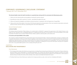The Internal Auditor meets the Audit Committee on a quarterly basis, during which he summarizes the following key points:

- 1. Follow-up to the internal audit recommendations mentioned in previous reports.
- 2. Recording new notes within a period of 3 months periodically throughout the year.
- 3. Follow-up of special investigations and relations during the period, in cooperation with the Department of Legal Affairs.
- 4. Follow up the work of the auditor in the review of the financial statements and presentation of the most important observations during the period of review, and also settle any outstanding points with other departments.

#### *Second:* External Control

#### a. External Auditor

The Ordinary General Assembly of Dlala Holding, at its meeting held on 03/04/2017, approved the appointment of Mr. Rodel & Partner as the auditor for 2017 because he has considerable experience in auditing and the best price. This was done on the recommendation of the Audit Committee The Board chose to present Rodel & Partner's office to perform external audits as the lowest price.

#### B. Functions and responsibilities of the auditor

The company's auditor, Mr. Rodel & Partner, presented his report to the General Assembly, in which he explained the company's compliance with its statutes, the provisions of the law and the relevant legislation of the Authority, and its commitment to implementing the best international auditing and reporting systems, The report was discussed at the Ordinary General Assembly by the shareholders. The issues mentioned were clarified, all queries answered, and the extent of the company's cooperation in enabling him to access the information necessary for completion of his work. S any questionable question on the company during the year 2017.

### CHAPTER V: **DISCLOSURE AND TRANSPARENCY**

### *First:* Disclosure

1. The Company shall comply with all disclosure requirements, including financial reporting and disclosure of the number of shares of directors, executive officers, senior shareholders or controlling shareholders. The company also discloses information relating to members of its board of directors, including the curriculum vitae of each of them, indicating their educational level, profession and membership in other boards of directors (if any). As well as the names of the members of the various committees formed by the Council.

2. The Board shall ensure that all disclosures made by the Company provide accurate, correct and non-misleading information.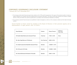- 3. The Company shall submit financial reports that conform to IAS / IFRS and ISA requirements. The report of the external auditors includes an explicit indication as to whether they have obtained all the necessary information. This report should state whether the company complies with IAS / IFRS and whether the audit was performed in accordance with International Standards on Auditing.
- 4. The company's periodic financial reports are published in Qatari newspapers as well as on the company's website and the Qatar Exchange website.

*Second:* Number of shares owned by members of the Board of Directors in their personal capacity and as representatives of legal persons until 31/12/2017:

| <b>Board Member</b>                              | Position      | Shares/Percent  | Shares of<br>Rep. entity |
|--------------------------------------------------|---------------|-----------------|--------------------------|
| HE Sheikh Abdul Rahman bin Hamad Al Thani        | Chairman      | 71040 - 0.25%   | None                     |
| Mr. Jaber Hajaj Mansour Al Shahwani,             | Vice Chairman | 64000 -0.23%    |                          |
| H.E. Sheikh Suhaim Bin Khalid Bin Hamad Al Thani | Member        | 1269094 - 4.47% |                          |
| Mr. Ali Hussein Ali Al-Sada                      | Member        | 1420800 - 5.00% |                          |
| Mr. Ahmed Mohamed Ali Ibrahim Al-Asmakh          | Member        | 50000 - 0.18%   |                          |

2017 Annual Report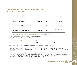1 January 2017 to 31 December 2017

| Mr. Khalid Abdulla Al Suwaidi              | Member | None | 489021-1.72%    |
|--------------------------------------------|--------|------|-----------------|
| Mrs. Moza Mohammed Al-Sulaiti              | Member | None | 1378176 - 4.85% |
| Mr. Waleed Raslan Walid Yacout Al Abdullah | Member | None | 489021-1.72%    |
| Mr. Mohamed Mubarak Ali Al Khater          | Member | None | 1420800 - 5.00% |

### *Third:* The number of shares owned by the Executive Management until 31/12/2017.

M. Executives names their characteristics and the number of shares they own 1 Dr. Abdulaziz Ali Al Hammadi Chief Executive Officer: None

## *Fourth:* Disclosure of violations committed during 2017:

The company has not been convicted of any wrongdoing during 2017 nor have any penalties been imposed by the regulatory authorities.

### Fifth: Disclosure of any dispute or dispute with Dlala Holding and judicial claims during 2017:

- a. On 03/01/2018 Dlala Islamic Brokerage Company, a subsidiary of Dlala Brokerage and Investment Holding Company, announced that it received the ruling issued by the Court of First Instance on 29/12/2016 in the case No. 89/2016, in which the court ruled in its presence that the defendant QR 19,511,95 (Nineteen million five hundred and twelve thousand nine hundred and fifty five riyals) for Dlala Islamic Brokerage Company.
- b. On 20/11/2017, Dlala Islamic Brokerage Company, a subsidiary of Dlala Brokerage and Investment Holding Company, announced that it had received the appeal judgment No. 96/2017 of 20 November 2017, according to which the court ruled in absentia to accept the appeal in its form and reject the subject and to support the appeal against the defendant The amount of QR 19,511,95 (Nineteen million five hundred and twelve thousand nine hundred and fifty five riyals) for Dlala Islamic Brokerage Company.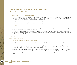### *Sixth:* Conflict of interest and transparency:

The Board of Directors of Dlala Holding is committed to disclosing the transactions and transactions concluded by the Company with any related party. In the case of any conflict of interest or commercial transaction with any of the related parties, In accordance with the principles of transparency, fairness and disclosure and in accordance with the relevant laws.

It is worth mentioning that the Company has prepared and disclosed a policy to govern business transactions with related parties and potential conflicts of interest. The Board of Directors adopted the policy on 9 October 2012.

### *Seventh:* Disclosure of trading operations:

The Board of Directors of Dlala Holding, the Senior Executive Management and all Insiders, their spouses and minor children are obliged to disclose their trading operations on the Company's shares.

It is worth mentioning that a policy of securities circulation and disclosure (including conditions for transactions of knowledgeable individuals) was implemented in January 2010, whereby the company's operational regulations are implemented to monitor adherence to this policy, including reporting on trading through Dalala Brokerage Company Executive and staff.

### CHAPTER 6: **RIGHTS OF STAKEHOLDERS**

#### *First:* Equality between the shareholders of rights

All shareholders are equal in their rights to the shares of the company since all the shares of the company are of the same category.

It should be noted that the Company's Articles of Association and its bylaws guarantee shareholders the exercise of their rights, in particular the right to dispose of shares, the right to receive the share of dividends, the right to attend the General Assembly, participate in its deliberations and vote on its decisions and the right to access and request information, Company.

Dlala Holding requests a monthly update from the Qatar Central Depository Company (CSC) for an updated copy of the register of shareholders. Any shareholder may request to have access to the Company's register of shareholders free of charge during the Company's official working hours. The company also publishes information, data and documents of interest to shareholders and updates them. And publishes them on its website.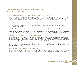1 January 2017 to 31 December 2017

## *Second:* Shareholders' rights related to the General Assembly and their participation

The amended Articles of Association of the Company include the right of shareholders who own 10% of the Group's capital to request the convening of the General Assembly. The shareholders who represent at least 25% of the Company's capital shall request the Extraordinary General Assembly to convene in accordance with the Commercial Companies Law No. 11 of 2015, Any item on the agenda of the General Assembly.

Article (49) of the Company's Articles of Association provides for the right of shareholders to discuss agenda items, raise questions, receive answers and take decisions.

Article (45) of the amended articles of association also provides for the conditions of the prosecution to attend and vote by proxy in accordance with the relevant law and regulations.

It is worth mentioning that Dlala Holding holds its meetings in places in the heart of the capital Doha at appropriate times. The company provides sufficient time for shareholders and insiders with all information related to the agenda to enable them to make their decisions. The results of the General Assembly shall be disclosed immediately to the competent authorities and published on the website And a copy of the minutes of the meeting shall be deposited with the Commission as soon as it is approved by the competent authority at the Ministry of Economy and Trade.

## *Third:* Distribution of profits and minority shareholders' rights

The amended Articles of Association of the Company shall stipulate the minimum percentage of net profits to be distributed to shareholders from net profits after deduction of statutory reserve and voluntary reserve. The shareholder shall be entitled to his share of profits in accordance with the regulations and regulations of the Authority and the financial market in which the shares are listed. Of the company to distribute profits, and the percentage of dividends distributed from year to year according to the profits achieved by the company.

The amendment of the Articles of Association of the Company is being implemented to include a specific mechanism to protect the shareholders' rights in general and the minority in particular, in the event that the company enters into significant transactions that may harm their interests or impair the ownership of the company's capital.

### *Fourth:* The rights of stakeholders other than shareholders

The Company is committed to preserving and respecting the rights of the stakeholders. Each interested party in the Company may request information relevant to its interest, accompanied by a request to prove it. The Company shall be obliged to provide the required information in a timely manner and to the extent that it does not threaten the interests of others or harm its interests.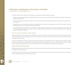It should be noted that the company's internal policies and procedures include provisions that include:

- • Respect the rights of stakeholders and enable stakeholders involved in governance to obtain reliable, adequate and relevant information on a timely and regular basis.
- Ensure that employees are treated in accordance with the principles of justice and equality without any discrimination on grounds of race, sex or religion
- Reward policy to grant incentives to employees and management of the company to work always in the interest of the company. This policy should take into account the company's long-term performance.
- A mechanism that allows employees of the company to inform the board of suspicious actions in the company when such actions are not valid or illegal or harmful to the company. Secure the confidentiality and protection from any adverse or negative reaction against the amount of other staff or superiors.

## *Fifth:* The social responsibility of Dlala Holding

Dlala Brokerage & Investment Holding seeks to establish itself as a leading company in the field of social responsibility. The company has spared no effort in supporting social responsibility projects in order to make a social impact in the Qatari society, which contributes to the promotion and welfare of the community.

In a sign of its deep belief in social responsibility, Dlala Holding has launched a world-leading initiative in this field, inviting students from Qatar University to attend its board meeting to train students and prepare them for responsibility, which comes within Qatar Vision 2030 His Highness the Emir Sheikh Tamim Bin Hamad Al Thani, which is based mainly on human development, youth support and transparency.

### *Partnership with Qatar University*

Dlala Brokerage and Investment Holding has signed a memorandum of understanding with Qatar University aimed at improving and enhancing knowledge in the field of education

Scientific research, executive training, community development, exchange of professional experiences, scientists and researchers in the field of business administration, finance and information systems.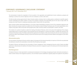The memorandum includes the cooperation of the two parties in the organization and establishment of joint conferences, symposia and workshops to achieve the common objectives of the two institutions as well as other items.

The MoU provides training opportunities for Qatar University students, introduces them to trading systems, contributes to scientific research, nurtures outstanding and creative students, as well as the company's corporate social responsibility plan for the vision of Qatar 2030. The company also looks forward to employing outstanding students trained within the partnership.

Qatar University Students Attend Board Meeting In a First Sign of Qatari Shareholding Companies As part of the cooperation agreement with Qatar University, the company hosted two students from the University to attend the Board meeting as part of its social responsibility role to support young Qatari cadres and provide training opportunities. Qatar University students and participate in research with them.

The invitation of a number of students to attend the meeting of the Board of Directors, which is the center of the leadership of the company a good opportunity for university students to get acquainted with this atmosphere in a practical and realistic in parallel with receiving in the university of theoretical studies. The Taliban expressed their gratitude for the initiative as they were introduced to the new rules of governance issued by the Qatar Financial Markets Authority, as well as the financial results of the company and those related to the progress of work within the company.

### *Remuneration policy*

The remuneration of the Board of Directors shall be subject to the approval of the General Assembly of a maximum of 5% of the net profits after the distribution of profit to the shareholders not less than 5% of the paid up share capital.

The Board of Directors shall determine the remuneration of senior management. Senior management bonuses consist of salary and added performance. Dlala discloses the liabilities of the Board of Directors and senior management as part of the disclosure of the financial statements of the Group.

### *Risk Management*

The Board of Directors is fully responsible for overseeing the development of risk strategy and applying principles, frameworks and policies. In order to further enhance risk management practices, a risk committee has been established to regularly prepare and update the risk profile of